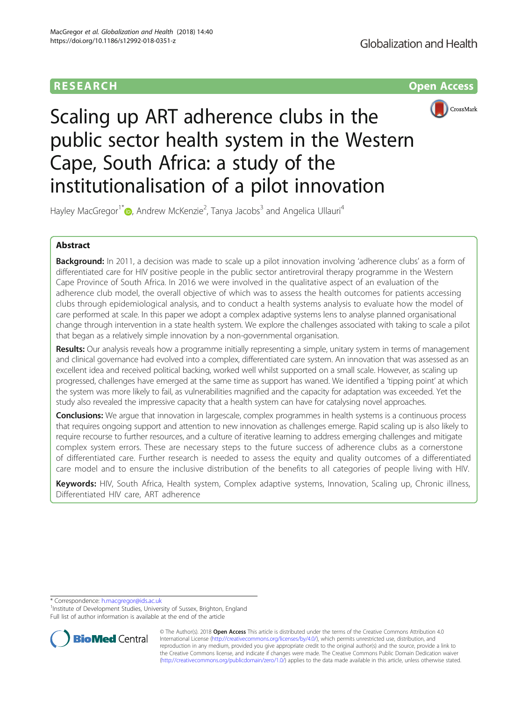# **RESEARCH CHINESE ARCH CHINESE ARCHITECT ARCHITECT ARCHITECT ARCHITECT ARCHITECT ARCHITECT ARCHITECT ARCHITECT ARCHITECT ARCHITECT ARCHITECT ARCHITECT ARCHITECT ARCHITECT ARCHITECT ARCHITECT ARCHITECT ARCHITECT ARCHITE**



# Scaling up ART adherence clubs in the public sector health system in the Western Cape, South Africa: a study of the institutionalisation of a pilot innovation

Hayley MacGregor<sup>1[\\*](http://orcid.org/0000-0002-9392-9331)</sup> D, Andrew McKenzie<sup>2</sup>, Tanya Jacobs<sup>3</sup> and Angelica Ullauri<sup>4</sup>

# Abstract

Background: In 2011, a decision was made to scale up a pilot innovation involving 'adherence clubs' as a form of differentiated care for HIV positive people in the public sector antiretroviral therapy programme in the Western Cape Province of South Africa. In 2016 we were involved in the qualitative aspect of an evaluation of the adherence club model, the overall objective of which was to assess the health outcomes for patients accessing clubs through epidemiological analysis, and to conduct a health systems analysis to evaluate how the model of care performed at scale. In this paper we adopt a complex adaptive systems lens to analyse planned organisational change through intervention in a state health system. We explore the challenges associated with taking to scale a pilot that began as a relatively simple innovation by a non-governmental organisation.

Results: Our analysis reveals how a programme initially representing a simple, unitary system in terms of management and clinical governance had evolved into a complex, differentiated care system. An innovation that was assessed as an excellent idea and received political backing, worked well whilst supported on a small scale. However, as scaling up progressed, challenges have emerged at the same time as support has waned. We identified a 'tipping point' at which the system was more likely to fail, as vulnerabilities magnified and the capacity for adaptation was exceeded. Yet the study also revealed the impressive capacity that a health system can have for catalysing novel approaches.

Conclusions: We argue that innovation in largescale, complex programmes in health systems is a continuous process that requires ongoing support and attention to new innovation as challenges emerge. Rapid scaling up is also likely to require recourse to further resources, and a culture of iterative learning to address emerging challenges and mitigate complex system errors. These are necessary steps to the future success of adherence clubs as a cornerstone of differentiated care. Further research is needed to assess the equity and quality outcomes of a differentiated care model and to ensure the inclusive distribution of the benefits to all categories of people living with HIV.

Keywords: HIV, South Africa, Health system, Complex adaptive systems, Innovation, Scaling up, Chronic illness, Differentiated HIV care, ART adherence

\* Correspondence: [h.macgregor@ids.ac.uk](mailto:h.macgregor@ids.ac.uk) <sup>1</sup>

<sup>1</sup> Institute of Development Studies, University of Sussex, Brighton, England Full list of author information is available at the end of the article



© The Author(s). 2018 Open Access This article is distributed under the terms of the Creative Commons Attribution 4.0 International License [\(http://creativecommons.org/licenses/by/4.0/](http://creativecommons.org/licenses/by/4.0/)), which permits unrestricted use, distribution, and reproduction in any medium, provided you give appropriate credit to the original author(s) and the source, provide a link to the Creative Commons license, and indicate if changes were made. The Creative Commons Public Domain Dedication waiver [\(http://creativecommons.org/publicdomain/zero/1.0/](http://creativecommons.org/publicdomain/zero/1.0/)) applies to the data made available in this article, unless otherwise stated.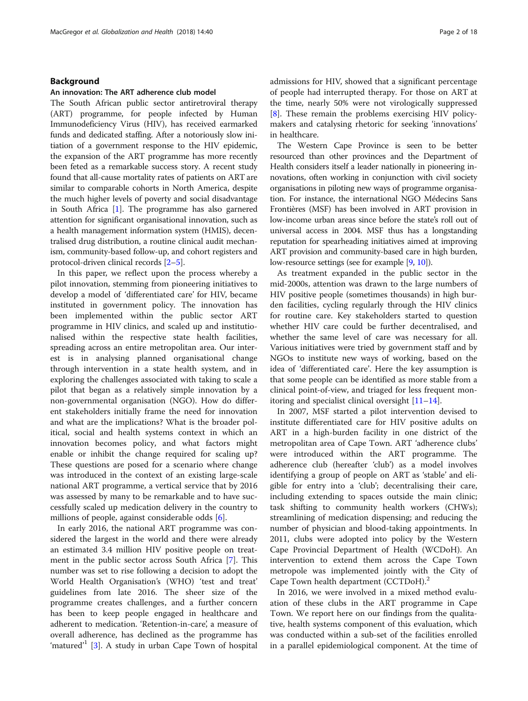### Background

#### An innovation: The ART adherence club model

The South African public sector antiretroviral therapy (ART) programme, for people infected by Human Immunodeficiency Virus (HIV), has received earmarked funds and dedicated staffing. After a notoriously slow initiation of a government response to the HIV epidemic, the expansion of the ART programme has more recently been feted as a remarkable success story. A recent study found that all-cause mortality rates of patients on ART are similar to comparable cohorts in North America, despite the much higher levels of poverty and social disadvantage in South Africa [[1\]](#page-16-0). The programme has also garnered attention for significant organisational innovation, such as a health management information system (HMIS), decentralised drug distribution, a routine clinical audit mechanism, community-based follow-up, and cohort registers and protocol-driven clinical records [[2](#page-16-0)–[5](#page-16-0)].

In this paper, we reflect upon the process whereby a pilot innovation, stemming from pioneering initiatives to develop a model of 'differentiated care' for HIV, became instituted in government policy. The innovation has been implemented within the public sector ART programme in HIV clinics, and scaled up and institutionalised within the respective state health facilities, spreading across an entire metropolitan area. Our interest is in analysing planned organisational change through intervention in a state health system, and in exploring the challenges associated with taking to scale a pilot that began as a relatively simple innovation by a non-governmental organisation (NGO). How do different stakeholders initially frame the need for innovation and what are the implications? What is the broader political, social and health systems context in which an innovation becomes policy, and what factors might enable or inhibit the change required for scaling up? These questions are posed for a scenario where change was introduced in the context of an existing large-scale national ART programme, a vertical service that by 2016 was assessed by many to be remarkable and to have successfully scaled up medication delivery in the country to millions of people, against considerable odds [\[6\]](#page-16-0).

In early 2016, the national ART programme was considered the largest in the world and there were already an estimated 3.4 million HIV positive people on treatment in the public sector across South Africa [\[7](#page-16-0)]. This number was set to rise following a decision to adopt the World Health Organisation's (WHO) 'test and treat' guidelines from late 2016. The sheer size of the programme creates challenges, and a further concern has been to keep people engaged in healthcare and adherent to medication. 'Retention-in-care', a measure of overall adherence, has declined as the programme has 'matured'<sup>1</sup> [[3](#page-16-0)]. A study in urban Cape Town of hospital

admissions for HIV, showed that a significant percentage of people had interrupted therapy. For those on ART at the time, nearly 50% were not virologically suppressed [[8\]](#page-16-0). These remain the problems exercising HIV policymakers and catalysing rhetoric for seeking 'innovations' in healthcare.

The Western Cape Province is seen to be better resourced than other provinces and the Department of Health considers itself a leader nationally in pioneering innovations, often working in conjunction with civil society organisations in piloting new ways of programme organisation. For instance, the international NGO Médecins Sans Frontières (MSF) has been involved in ART provision in low-income urban areas since before the state's roll out of universal access in 2004. MSF thus has a longstanding reputation for spearheading initiatives aimed at improving ART provision and community-based care in high burden, low-resource settings (see for example [\[9,](#page-17-0) [10](#page-17-0)]).

As treatment expanded in the public sector in the mid-2000s, attention was drawn to the large numbers of HIV positive people (sometimes thousands) in high burden facilities, cycling regularly through the HIV clinics for routine care. Key stakeholders started to question whether HIV care could be further decentralised, and whether the same level of care was necessary for all. Various initiatives were tried by government staff and by NGOs to institute new ways of working, based on the idea of 'differentiated care'. Here the key assumption is that some people can be identified as more stable from a clinical point-of-view, and triaged for less frequent monitoring and specialist clinical oversight [[11](#page-17-0)–[14](#page-17-0)].

In 2007, MSF started a pilot intervention devised to institute differentiated care for HIV positive adults on ART in a high-burden facility in one district of the metropolitan area of Cape Town. ART 'adherence clubs' were introduced within the ART programme. The adherence club (hereafter 'club') as a model involves identifying a group of people on ART as 'stable' and eligible for entry into a 'club'; decentralising their care, including extending to spaces outside the main clinic; task shifting to community health workers (CHWs); streamlining of medication dispensing; and reducing the number of physician and blood-taking appointments. In 2011, clubs were adopted into policy by the Western Cape Provincial Department of Health (WCDoH). An intervention to extend them across the Cape Town metropole was implemented jointly with the City of Cape Town health department (CCTDoH).<sup>2</sup>

In 2016, we were involved in a mixed method evaluation of these clubs in the ART programme in Cape Town. We report here on our findings from the qualitative, health systems component of this evaluation, which was conducted within a sub-set of the facilities enrolled in a parallel epidemiological component. At the time of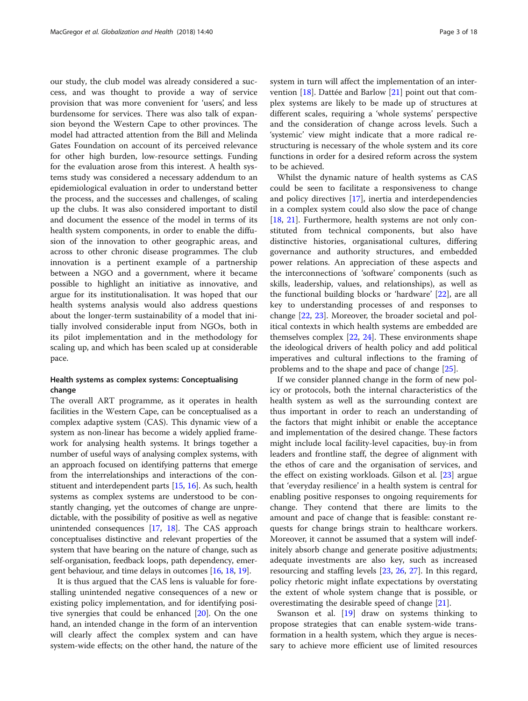our study, the club model was already considered a success, and was thought to provide a way of service provision that was more convenient for 'users', and less burdensome for services. There was also talk of expansion beyond the Western Cape to other provinces. The model had attracted attention from the Bill and Melinda Gates Foundation on account of its perceived relevance for other high burden, low-resource settings. Funding for the evaluation arose from this interest. A health systems study was considered a necessary addendum to an epidemiological evaluation in order to understand better the process, and the successes and challenges, of scaling up the clubs. It was also considered important to distil and document the essence of the model in terms of its health system components, in order to enable the diffusion of the innovation to other geographic areas, and across to other chronic disease programmes. The club innovation is a pertinent example of a partnership between a NGO and a government, where it became possible to highlight an initiative as innovative, and argue for its institutionalisation. It was hoped that our health systems analysis would also address questions about the longer-term sustainability of a model that initially involved considerable input from NGOs, both in its pilot implementation and in the methodology for scaling up, and which has been scaled up at considerable pace.

# Health systems as complex systems: Conceptualising change

The overall ART programme, as it operates in health facilities in the Western Cape, can be conceptualised as a complex adaptive system (CAS). This dynamic view of a system as non-linear has become a widely applied framework for analysing health systems. It brings together a number of useful ways of analysing complex systems, with an approach focused on identifying patterns that emerge from the interrelationships and interactions of the constituent and interdependent parts [[15](#page-17-0), [16](#page-17-0)]. As such, health systems as complex systems are understood to be constantly changing, yet the outcomes of change are unpredictable, with the possibility of positive as well as negative unintended consequences [\[17,](#page-17-0) [18\]](#page-17-0). The CAS approach conceptualises distinctive and relevant properties of the system that have bearing on the nature of change, such as self-organisation, feedback loops, path dependency, emergent behaviour, and time delays in outcomes [[16](#page-17-0), [18,](#page-17-0) [19](#page-17-0)].

It is thus argued that the CAS lens is valuable for forestalling unintended negative consequences of a new or existing policy implementation, and for identifying positive synergies that could be enhanced [[20](#page-17-0)]. On the one hand, an intended change in the form of an intervention will clearly affect the complex system and can have system-wide effects; on the other hand, the nature of the system in turn will affect the implementation of an intervention [\[18](#page-17-0)]. Dattée and Barlow [[21](#page-17-0)] point out that complex systems are likely to be made up of structures at different scales, requiring a 'whole systems' perspective and the consideration of change across levels. Such a 'systemic' view might indicate that a more radical restructuring is necessary of the whole system and its core functions in order for a desired reform across the system to be achieved.

Whilst the dynamic nature of health systems as CAS could be seen to facilitate a responsiveness to change and policy directives [\[17\]](#page-17-0), inertia and interdependencies in a complex system could also slow the pace of change [[18,](#page-17-0) [21](#page-17-0)]. Furthermore, health systems are not only constituted from technical components, but also have distinctive histories, organisational cultures, differing governance and authority structures, and embedded power relations. An appreciation of these aspects and the interconnections of 'software' components (such as skills, leadership, values, and relationships), as well as the functional building blocks or 'hardware' [\[22\]](#page-17-0), are all key to understanding processes of and responses to change [[22,](#page-17-0) [23](#page-17-0)]. Moreover, the broader societal and political contexts in which health systems are embedded are themselves complex [[22,](#page-17-0) [24](#page-17-0)]. These environments shape the ideological drivers of health policy and add political imperatives and cultural inflections to the framing of problems and to the shape and pace of change [[25\]](#page-17-0).

If we consider planned change in the form of new policy or protocols, both the internal characteristics of the health system as well as the surrounding context are thus important in order to reach an understanding of the factors that might inhibit or enable the acceptance and implementation of the desired change. These factors might include local facility-level capacities, buy-in from leaders and frontline staff, the degree of alignment with the ethos of care and the organisation of services, and the effect on existing workloads. Gilson et al. [[23](#page-17-0)] argue that 'everyday resilience' in a health system is central for enabling positive responses to ongoing requirements for change. They contend that there are limits to the amount and pace of change that is feasible: constant requests for change brings strain to healthcare workers. Moreover, it cannot be assumed that a system will indefinitely absorb change and generate positive adjustments; adequate investments are also key, such as increased resourcing and staffing levels [\[23](#page-17-0), [26](#page-17-0), [27\]](#page-17-0). In this regard, policy rhetoric might inflate expectations by overstating the extent of whole system change that is possible, or overestimating the desirable speed of change [\[21](#page-17-0)].

Swanson et al. [\[19](#page-17-0)] draw on systems thinking to propose strategies that can enable system-wide transformation in a health system, which they argue is necessary to achieve more efficient use of limited resources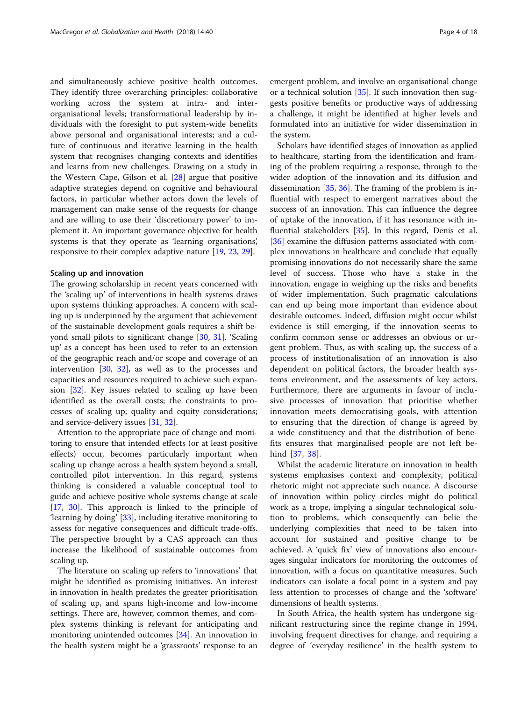and simultaneously achieve positive health outcomes. They identify three overarching principles: collaborative working across the system at intra- and interorganisational levels; transformational leadership by individuals with the foresight to put system-wide benefits above personal and organisational interests; and a culture of continuous and iterative learning in the health system that recognises changing contexts and identifies and learns from new challenges. Drawing on a study in the Western Cape, Gilson et al. [\[28](#page-17-0)] argue that positive adaptive strategies depend on cognitive and behavioural factors, in particular whether actors down the levels of management can make sense of the requests for change and are willing to use their 'discretionary power' to implement it. An important governance objective for health systems is that they operate as 'learning organisations', responsive to their complex adaptive nature [[19](#page-17-0), [23](#page-17-0), [29](#page-17-0)].

#### Scaling up and innovation

The growing scholarship in recent years concerned with the 'scaling up' of interventions in health systems draws upon systems thinking approaches. A concern with scaling up is underpinned by the argument that achievement of the sustainable development goals requires a shift beyond small pilots to significant change [[30,](#page-17-0) [31](#page-17-0)]. 'Scaling up' as a concept has been used to refer to an extension of the geographic reach and/or scope and coverage of an intervention [\[30,](#page-17-0) [32\]](#page-17-0), as well as to the processes and capacities and resources required to achieve such expansion [\[32\]](#page-17-0). Key issues related to scaling up have been identified as the overall costs; the constraints to processes of scaling up; quality and equity considerations; and service-delivery issues [[31](#page-17-0), [32](#page-17-0)].

Attention to the appropriate pace of change and monitoring to ensure that intended effects (or at least positive effects) occur, becomes particularly important when scaling up change across a health system beyond a small, controlled pilot intervention. In this regard, systems thinking is considered a valuable conceptual tool to guide and achieve positive whole systems change at scale [[17,](#page-17-0) [30](#page-17-0)]. This approach is linked to the principle of 'learning by doing' [\[33](#page-17-0)], including iterative monitoring to assess for negative consequences and difficult trade-offs. The perspective brought by a CAS approach can thus increase the likelihood of sustainable outcomes from scaling up.

The literature on scaling up refers to 'innovations' that might be identified as promising initiatives. An interest in innovation in health predates the greater prioritisation of scaling up, and spans high-income and low-income settings. There are, however, common themes, and complex systems thinking is relevant for anticipating and monitoring unintended outcomes [[34](#page-17-0)]. An innovation in the health system might be a 'grassroots' response to an emergent problem, and involve an organisational change or a technical solution [\[35](#page-17-0)]. If such innovation then suggests positive benefits or productive ways of addressing a challenge, it might be identified at higher levels and formulated into an initiative for wider dissemination in the system.

Scholars have identified stages of innovation as applied to healthcare, starting from the identification and framing of the problem requiring a response, through to the wider adoption of the innovation and its diffusion and dissemination [\[35](#page-17-0), [36](#page-17-0)]. The framing of the problem is influential with respect to emergent narratives about the success of an innovation. This can influence the degree of uptake of the innovation, if it has resonance with influential stakeholders [[35\]](#page-17-0). In this regard, Denis et al. [[36\]](#page-17-0) examine the diffusion patterns associated with complex innovations in healthcare and conclude that equally promising innovations do not necessarily share the same level of success. Those who have a stake in the innovation, engage in weighing up the risks and benefits of wider implementation. Such pragmatic calculations can end up being more important than evidence about desirable outcomes. Indeed, diffusion might occur whilst evidence is still emerging, if the innovation seems to confirm common sense or addresses an obvious or urgent problem. Thus, as with scaling up, the success of a process of institutionalisation of an innovation is also dependent on political factors, the broader health systems environment, and the assessments of key actors. Furthermore, there are arguments in favour of inclusive processes of innovation that prioritise whether innovation meets democratising goals, with attention to ensuring that the direction of change is agreed by a wide constituency and that the distribution of benefits ensures that marginalised people are not left behind [[37,](#page-17-0) [38\]](#page-17-0).

Whilst the academic literature on innovation in health systems emphasises context and complexity, political rhetoric might not appreciate such nuance. A discourse of innovation within policy circles might do political work as a trope, implying a singular technological solution to problems, which consequently can belie the underlying complexities that need to be taken into account for sustained and positive change to be achieved. A 'quick fix' view of innovations also encourages singular indicators for monitoring the outcomes of innovation, with a focus on quantitative measures. Such indicators can isolate a focal point in a system and pay less attention to processes of change and the 'software' dimensions of health systems.

In South Africa, the health system has undergone significant restructuring since the regime change in 1994, involving frequent directives for change, and requiring a degree of 'everyday resilience' in the health system to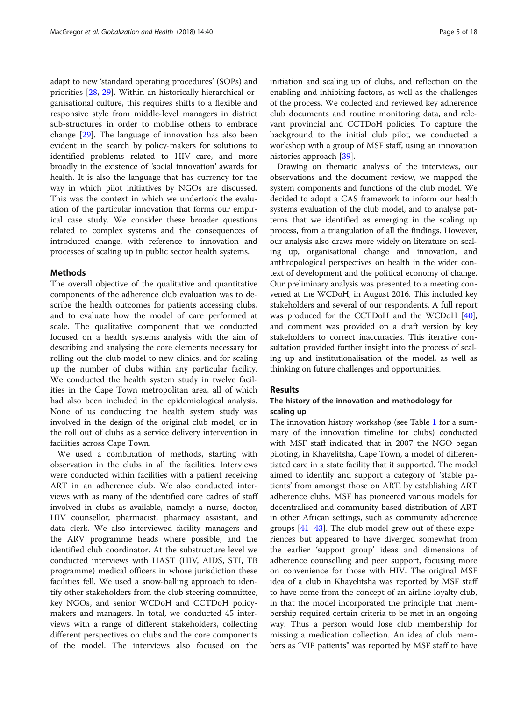adapt to new 'standard operating procedures' (SOPs) and priorities [[28,](#page-17-0) [29](#page-17-0)]. Within an historically hierarchical organisational culture, this requires shifts to a flexible and responsive style from middle-level managers in district sub-structures in order to mobilise others to embrace change [[29\]](#page-17-0). The language of innovation has also been evident in the search by policy-makers for solutions to identified problems related to HIV care, and more broadly in the existence of 'social innovation' awards for health. It is also the language that has currency for the way in which pilot initiatives by NGOs are discussed. This was the context in which we undertook the evaluation of the particular innovation that forms our empirical case study. We consider these broader questions related to complex systems and the consequences of introduced change, with reference to innovation and processes of scaling up in public sector health systems.

#### Methods

The overall objective of the qualitative and quantitative components of the adherence club evaluation was to describe the health outcomes for patients accessing clubs, and to evaluate how the model of care performed at scale. The qualitative component that we conducted focused on a health systems analysis with the aim of describing and analysing the core elements necessary for rolling out the club model to new clinics, and for scaling up the number of clubs within any particular facility. We conducted the health system study in twelve facilities in the Cape Town metropolitan area, all of which had also been included in the epidemiological analysis. None of us conducting the health system study was involved in the design of the original club model, or in the roll out of clubs as a service delivery intervention in facilities across Cape Town.

We used a combination of methods, starting with observation in the clubs in all the facilities. Interviews were conducted within facilities with a patient receiving ART in an adherence club. We also conducted interviews with as many of the identified core cadres of staff involved in clubs as available, namely: a nurse, doctor, HIV counsellor, pharmacist, pharmacy assistant, and data clerk. We also interviewed facility managers and the ARV programme heads where possible, and the identified club coordinator. At the substructure level we conducted interviews with HAST (HIV, AIDS, STI, TB programme) medical officers in whose jurisdiction these facilities fell. We used a snow-balling approach to identify other stakeholders from the club steering committee, key NGOs, and senior WCDoH and CCTDoH policymakers and managers. In total, we conducted 45 interviews with a range of different stakeholders, collecting different perspectives on clubs and the core components of the model. The interviews also focused on the initiation and scaling up of clubs, and reflection on the enabling and inhibiting factors, as well as the challenges of the process. We collected and reviewed key adherence club documents and routine monitoring data, and relevant provincial and CCTDoH policies. To capture the background to the initial club pilot, we conducted a workshop with a group of MSF staff, using an innovation histories approach [[39\]](#page-17-0).

Drawing on thematic analysis of the interviews, our observations and the document review, we mapped the system components and functions of the club model. We decided to adopt a CAS framework to inform our health systems evaluation of the club model, and to analyse patterns that we identified as emerging in the scaling up process, from a triangulation of all the findings. However, our analysis also draws more widely on literature on scaling up, organisational change and innovation, and anthropological perspectives on health in the wider context of development and the political economy of change. Our preliminary analysis was presented to a meeting convened at the WCDoH, in August 2016. This included key stakeholders and several of our respondents. A full report was produced for the CCTDoH and the WCDoH [[40](#page-17-0)], and comment was provided on a draft version by key stakeholders to correct inaccuracies. This iterative consultation provided further insight into the process of scaling up and institutionalisation of the model, as well as thinking on future challenges and opportunities.

#### Results

# The history of the innovation and methodology for scaling up

The innovation history workshop (see Table [1](#page-5-0) for a summary of the innovation timeline for clubs) conducted with MSF staff indicated that in 2007 the NGO began piloting, in Khayelitsha, Cape Town, a model of differentiated care in a state facility that it supported. The model aimed to identify and support a category of 'stable patients' from amongst those on ART, by establishing ART adherence clubs. MSF has pioneered various models for decentralised and community-based distribution of ART in other African settings, such as community adherence groups [[41](#page-17-0)–[43](#page-17-0)]. The club model grew out of these experiences but appeared to have diverged somewhat from the earlier 'support group' ideas and dimensions of adherence counselling and peer support, focusing more on convenience for those with HIV. The original MSF idea of a club in Khayelitsha was reported by MSF staff to have come from the concept of an airline loyalty club, in that the model incorporated the principle that membership required certain criteria to be met in an ongoing way. Thus a person would lose club membership for missing a medication collection. An idea of club members as "VIP patients" was reported by MSF staff to have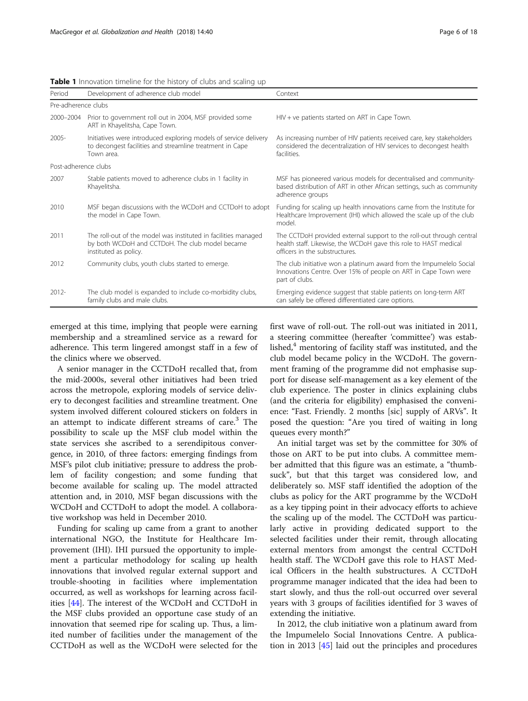| Period               | Development of adherence club model                                                                                                        | Context                                                                                                                                                                    |
|----------------------|--------------------------------------------------------------------------------------------------------------------------------------------|----------------------------------------------------------------------------------------------------------------------------------------------------------------------------|
| Pre-adherence clubs  |                                                                                                                                            |                                                                                                                                                                            |
| 2000-2004            | Prior to government roll out in 2004, MSF provided some<br>ART in Khayelitsha, Cape Town.                                                  | $HIV + ve$ patients started on ART in Cape Town.                                                                                                                           |
| $2005 -$             | Initiatives were introduced exploring models of service delivery<br>to decongest facilities and streamline treatment in Cape<br>Town area. | As increasing number of HIV patients received care, key stakeholders<br>considered the decentralization of HIV services to decongest health<br>facilities.                 |
| Post-adherence clubs |                                                                                                                                            |                                                                                                                                                                            |
| 2007                 | Stable patients moved to adherence clubs in 1 facility in<br>Khayelitsha.                                                                  | MSF has pioneered various models for decentralised and community-<br>based distribution of ART in other African settings, such as community<br>adherence groups            |
| 2010                 | MSF began discussions with the WCDoH and CCTDoH to adopt<br>the model in Cape Town.                                                        | Funding for scaling up health innovations came from the Institute for<br>Healthcare Improvement (IHI) which allowed the scale up of the club<br>model.                     |
| 2011                 | The roll-out of the model was instituted in facilities managed<br>by both WCDoH and CCTDoH. The club model became<br>instituted as policy. | The CCTDoH provided external support to the roll-out through central<br>health staff. Likewise, the WCDoH gave this role to HAST medical<br>officers in the substructures. |
| 2012                 | Community clubs, youth clubs started to emerge.                                                                                            | The club initiative won a platinum award from the Impumelelo Social<br>Innovations Centre. Over 15% of people on ART in Cape Town were<br>part of clubs.                   |
| $2012 -$             | The club model is expanded to include co-morbidity clubs,<br>family clubs and male clubs.                                                  | Emerging evidence suggest that stable patients on long-term ART<br>can safely be offered differentiated care options.                                                      |

<span id="page-5-0"></span>Table 1 Innovation timeline for the history of clubs and scaling up

emerged at this time, implying that people were earning membership and a streamlined service as a reward for adherence. This term lingered amongst staff in a few of the clinics where we observed.

A senior manager in the CCTDoH recalled that, from the mid-2000s, several other initiatives had been tried across the metropole, exploring models of service delivery to decongest facilities and streamline treatment. One system involved different coloured stickers on folders in an attempt to indicate different streams of care.<sup>3</sup> The possibility to scale up the MSF club model within the state services she ascribed to a serendipitous convergence, in 2010, of three factors: emerging findings from MSF's pilot club initiative; pressure to address the problem of facility congestion; and some funding that become available for scaling up. The model attracted attention and, in 2010, MSF began discussions with the WCDoH and CCTDoH to adopt the model. A collaborative workshop was held in December 2010.

Funding for scaling up came from a grant to another international NGO, the Institute for Healthcare Improvement (IHI). IHI pursued the opportunity to implement a particular methodology for scaling up health innovations that involved regular external support and trouble-shooting in facilities where implementation occurred, as well as workshops for learning across facilities [[44\]](#page-17-0). The interest of the WCDoH and CCTDoH in the MSF clubs provided an opportune case study of an innovation that seemed ripe for scaling up. Thus, a limited number of facilities under the management of the CCTDoH as well as the WCDoH were selected for the first wave of roll-out. The roll-out was initiated in 2011, a steering committee (hereafter 'committee') was established, $4$  mentoring of facility staff was instituted, and the club model became policy in the WCDoH. The government framing of the programme did not emphasise support for disease self-management as a key element of the club experience. The poster in clinics explaining clubs (and the criteria for eligibility) emphasised the convenience: "Fast. Friendly. 2 months [sic] supply of ARVs". It posed the question: "Are you tired of waiting in long queues every month?"

An initial target was set by the committee for 30% of those on ART to be put into clubs. A committee member admitted that this figure was an estimate, a "thumbsuck", but that this target was considered low, and deliberately so. MSF staff identified the adoption of the clubs as policy for the ART programme by the WCDoH as a key tipping point in their advocacy efforts to achieve the scaling up of the model. The CCTDoH was particularly active in providing dedicated support to the selected facilities under their remit, through allocating external mentors from amongst the central CCTDoH health staff. The WCDoH gave this role to HAST Medical Officers in the health substructures. A CCTDoH programme manager indicated that the idea had been to start slowly, and thus the roll-out occurred over several years with 3 groups of facilities identified for 3 waves of extending the initiative.

In 2012, the club initiative won a platinum award from the Impumelelo Social Innovations Centre. A publication in 2013 [[45](#page-17-0)] laid out the principles and procedures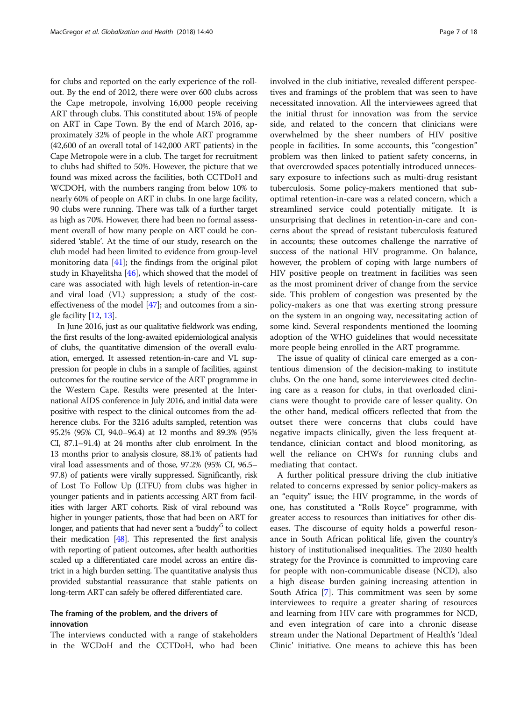for clubs and reported on the early experience of the rollout. By the end of 2012, there were over 600 clubs across the Cape metropole, involving 16,000 people receiving ART through clubs. This constituted about 15% of people on ART in Cape Town. By the end of March 2016, approximately 32% of people in the whole ART programme (42,600 of an overall total of 142,000 ART patients) in the Cape Metropole were in a club. The target for recruitment to clubs had shifted to 50%. However, the picture that we found was mixed across the facilities, both CCTDoH and WCDOH, with the numbers ranging from below 10% to nearly 60% of people on ART in clubs. In one large facility, 90 clubs were running. There was talk of a further target as high as 70%. However, there had been no formal assessment overall of how many people on ART could be considered 'stable'. At the time of our study, research on the club model had been limited to evidence from group-level monitoring data [[41\]](#page-17-0); the findings from the original pilot study in Khayelitsha [\[46](#page-17-0)], which showed that the model of care was associated with high levels of retention-in-care and viral load (VL) suppression; a study of the costeffectiveness of the model [[47](#page-17-0)]; and outcomes from a single facility [[12](#page-17-0), [13\]](#page-17-0).

In June 2016, just as our qualitative fieldwork was ending, the first results of the long-awaited epidemiological analysis of clubs, the quantitative dimension of the overall evaluation, emerged. It assessed retention-in-care and VL suppression for people in clubs in a sample of facilities, against outcomes for the routine service of the ART programme in the Western Cape. Results were presented at the International AIDS conference in July 2016, and initial data were positive with respect to the clinical outcomes from the adherence clubs. For the 3216 adults sampled, retention was 95.2% (95% CI, 94.0–96.4) at 12 months and 89.3% (95% CI, 87.1–91.4) at 24 months after club enrolment. In the 13 months prior to analysis closure, 88.1% of patients had viral load assessments and of those, 97.2% (95% CI, 96.5– 97.8) of patients were virally suppressed. Significantly, risk of Lost To Follow Up (LTFU) from clubs was higher in younger patients and in patients accessing ART from facilities with larger ART cohorts. Risk of viral rebound was higher in younger patients, those that had been on ART for longer, and patients that had never sent a 'buddy'<sup>5</sup> to collect their medication [\[48\]](#page-17-0). This represented the first analysis with reporting of patient outcomes, after health authorities scaled up a differentiated care model across an entire district in a high burden setting. The quantitative analysis thus provided substantial reassurance that stable patients on long-term ART can safely be offered differentiated care.

## The framing of the problem, and the drivers of innovation

The interviews conducted with a range of stakeholders in the WCDoH and the CCTDoH, who had been

involved in the club initiative, revealed different perspectives and framings of the problem that was seen to have necessitated innovation. All the interviewees agreed that the initial thrust for innovation was from the service side, and related to the concern that clinicians were overwhelmed by the sheer numbers of HIV positive people in facilities. In some accounts, this "congestion" problem was then linked to patient safety concerns, in that overcrowded spaces potentially introduced unnecessary exposure to infections such as multi-drug resistant tuberculosis. Some policy-makers mentioned that suboptimal retention-in-care was a related concern, which a streamlined service could potentially mitigate. It is unsurprising that declines in retention-in-care and concerns about the spread of resistant tuberculosis featured in accounts; these outcomes challenge the narrative of success of the national HIV programme. On balance, however, the problem of coping with large numbers of HIV positive people on treatment in facilities was seen as the most prominent driver of change from the service side. This problem of congestion was presented by the policy-makers as one that was exerting strong pressure on the system in an ongoing way, necessitating action of some kind. Several respondents mentioned the looming adoption of the WHO guidelines that would necessitate more people being enrolled in the ART programme.

The issue of quality of clinical care emerged as a contentious dimension of the decision-making to institute clubs. On the one hand, some interviewees cited declining care as a reason for clubs, in that overloaded clinicians were thought to provide care of lesser quality. On the other hand, medical officers reflected that from the outset there were concerns that clubs could have negative impacts clinically, given the less frequent attendance, clinician contact and blood monitoring, as well the reliance on CHWs for running clubs and mediating that contact.

A further political pressure driving the club initiative related to concerns expressed by senior policy-makers as an "equity" issue; the HIV programme, in the words of one, has constituted a "Rolls Royce" programme, with greater access to resources than initiatives for other diseases. The discourse of equity holds a powerful resonance in South African political life, given the country's history of institutionalised inequalities. The 2030 health strategy for the Province is committed to improving care for people with non-communicable disease (NCD), also a high disease burden gaining increasing attention in South Africa [[7\]](#page-16-0). This commitment was seen by some interviewees to require a greater sharing of resources and learning from HIV care with programmes for NCD, and even integration of care into a chronic disease stream under the National Department of Health's 'Ideal Clinic' initiative. One means to achieve this has been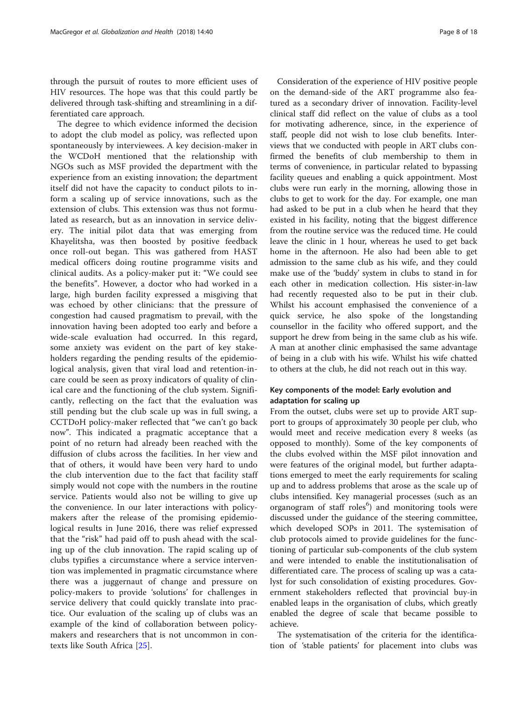through the pursuit of routes to more efficient uses of HIV resources. The hope was that this could partly be delivered through task-shifting and streamlining in a differentiated care approach.

The degree to which evidence informed the decision to adopt the club model as policy, was reflected upon spontaneously by interviewees. A key decision-maker in the WCDoH mentioned that the relationship with NGOs such as MSF provided the department with the experience from an existing innovation; the department itself did not have the capacity to conduct pilots to inform a scaling up of service innovations, such as the extension of clubs. This extension was thus not formulated as research, but as an innovation in service delivery. The initial pilot data that was emerging from Khayelitsha, was then boosted by positive feedback once roll-out began. This was gathered from HAST medical officers doing routine programme visits and clinical audits. As a policy-maker put it: "We could see the benefits". However, a doctor who had worked in a large, high burden facility expressed a misgiving that was echoed by other clinicians: that the pressure of congestion had caused pragmatism to prevail, with the innovation having been adopted too early and before a wide-scale evaluation had occurred. In this regard, some anxiety was evident on the part of key stakeholders regarding the pending results of the epidemiological analysis, given that viral load and retention-incare could be seen as proxy indicators of quality of clinical care and the functioning of the club system. Significantly, reflecting on the fact that the evaluation was still pending but the club scale up was in full swing, a CCTDoH policy-maker reflected that "we can't go back now". This indicated a pragmatic acceptance that a point of no return had already been reached with the diffusion of clubs across the facilities. In her view and that of others, it would have been very hard to undo the club intervention due to the fact that facility staff simply would not cope with the numbers in the routine service. Patients would also not be willing to give up the convenience. In our later interactions with policymakers after the release of the promising epidemiological results in June 2016, there was relief expressed that the "risk" had paid off to push ahead with the scaling up of the club innovation. The rapid scaling up of clubs typifies a circumstance where a service intervention was implemented in pragmatic circumstance where there was a juggernaut of change and pressure on policy-makers to provide 'solutions' for challenges in service delivery that could quickly translate into practice. Our evaluation of the scaling up of clubs was an example of the kind of collaboration between policymakers and researchers that is not uncommon in contexts like South Africa [\[25](#page-17-0)].

Consideration of the experience of HIV positive people on the demand-side of the ART programme also featured as a secondary driver of innovation. Facility-level clinical staff did reflect on the value of clubs as a tool for motivating adherence, since, in the experience of staff, people did not wish to lose club benefits. Interviews that we conducted with people in ART clubs confirmed the benefits of club membership to them in terms of convenience, in particular related to bypassing facility queues and enabling a quick appointment. Most clubs were run early in the morning, allowing those in clubs to get to work for the day. For example, one man had asked to be put in a club when he heard that they existed in his facility, noting that the biggest difference from the routine service was the reduced time. He could leave the clinic in 1 hour, whereas he used to get back home in the afternoon. He also had been able to get admission to the same club as his wife, and they could make use of the 'buddy' system in clubs to stand in for each other in medication collection. His sister-in-law had recently requested also to be put in their club. Whilst his account emphasised the convenience of a quick service, he also spoke of the longstanding counsellor in the facility who offered support, and the support he drew from being in the same club as his wife. A man at another clinic emphasised the same advantage of being in a club with his wife. Whilst his wife chatted to others at the club, he did not reach out in this way.

# Key components of the model: Early evolution and adaptation for scaling up

From the outset, clubs were set up to provide ART support to groups of approximately 30 people per club, who would meet and receive medication every 8 weeks (as opposed to monthly). Some of the key components of the clubs evolved within the MSF pilot innovation and were features of the original model, but further adaptations emerged to meet the early requirements for scaling up and to address problems that arose as the scale up of clubs intensified. Key managerial processes (such as an organogram of staff roles<sup>6</sup>) and monitoring tools were discussed under the guidance of the steering committee, which developed SOPs in 2011. The systemisation of club protocols aimed to provide guidelines for the functioning of particular sub-components of the club system and were intended to enable the institutionalisation of differentiated care. The process of scaling up was a catalyst for such consolidation of existing procedures. Government stakeholders reflected that provincial buy-in enabled leaps in the organisation of clubs, which greatly enabled the degree of scale that became possible to achieve.

The systematisation of the criteria for the identification of 'stable patients' for placement into clubs was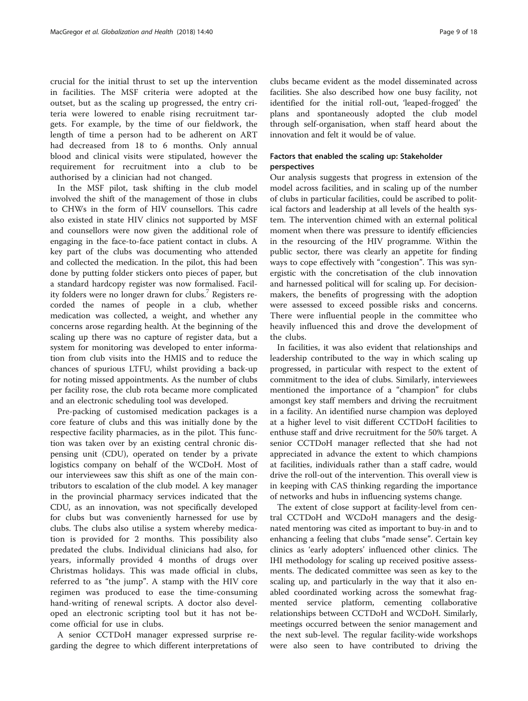crucial for the initial thrust to set up the intervention in facilities. The MSF criteria were adopted at the outset, but as the scaling up progressed, the entry criteria were lowered to enable rising recruitment targets. For example, by the time of our fieldwork, the length of time a person had to be adherent on ART had decreased from 18 to 6 months. Only annual blood and clinical visits were stipulated, however the requirement for recruitment into a club to be authorised by a clinician had not changed.

In the MSF pilot, task shifting in the club model involved the shift of the management of those in clubs to CHWs in the form of HIV counsellors. This cadre also existed in state HIV clinics not supported by MSF and counsellors were now given the additional role of engaging in the face-to-face patient contact in clubs. A key part of the clubs was documenting who attended and collected the medication. In the pilot, this had been done by putting folder stickers onto pieces of paper, but a standard hardcopy register was now formalised. Facility folders were no longer drawn for clubs.<sup>7</sup> Registers recorded the names of people in a club, whether medication was collected, a weight, and whether any concerns arose regarding health. At the beginning of the scaling up there was no capture of register data, but a system for monitoring was developed to enter information from club visits into the HMIS and to reduce the chances of spurious LTFU, whilst providing a back-up for noting missed appointments. As the number of clubs per facility rose, the club rota became more complicated and an electronic scheduling tool was developed.

Pre-packing of customised medication packages is a core feature of clubs and this was initially done by the respective facility pharmacies, as in the pilot. This function was taken over by an existing central chronic dispensing unit (CDU), operated on tender by a private logistics company on behalf of the WCDoH. Most of our interviewees saw this shift as one of the main contributors to escalation of the club model. A key manager in the provincial pharmacy services indicated that the CDU, as an innovation, was not specifically developed for clubs but was conveniently harnessed for use by clubs. The clubs also utilise a system whereby medication is provided for 2 months. This possibility also predated the clubs. Individual clinicians had also, for years, informally provided 4 months of drugs over Christmas holidays. This was made official in clubs, referred to as "the jump". A stamp with the HIV core regimen was produced to ease the time-consuming hand-writing of renewal scripts. A doctor also developed an electronic scripting tool but it has not become official for use in clubs.

A senior CCTDoH manager expressed surprise regarding the degree to which different interpretations of

clubs became evident as the model disseminated across facilities. She also described how one busy facility, not identified for the initial roll-out, 'leaped-frogged' the plans and spontaneously adopted the club model through self-organisation, when staff heard about the innovation and felt it would be of value.

# Factors that enabled the scaling up: Stakeholder perspectives

Our analysis suggests that progress in extension of the model across facilities, and in scaling up of the number of clubs in particular facilities, could be ascribed to political factors and leadership at all levels of the health system. The intervention chimed with an external political moment when there was pressure to identify efficiencies in the resourcing of the HIV programme. Within the public sector, there was clearly an appetite for finding ways to cope effectively with "congestion". This was synergistic with the concretisation of the club innovation and harnessed political will for scaling up. For decisionmakers, the benefits of progressing with the adoption were assessed to exceed possible risks and concerns. There were influential people in the committee who heavily influenced this and drove the development of the clubs.

In facilities, it was also evident that relationships and leadership contributed to the way in which scaling up progressed, in particular with respect to the extent of commitment to the idea of clubs. Similarly, interviewees mentioned the importance of a "champion" for clubs amongst key staff members and driving the recruitment in a facility. An identified nurse champion was deployed at a higher level to visit different CCTDoH facilities to enthuse staff and drive recruitment for the 50% target. A senior CCTDoH manager reflected that she had not appreciated in advance the extent to which champions at facilities, individuals rather than a staff cadre, would drive the roll-out of the intervention. This overall view is in keeping with CAS thinking regarding the importance of networks and hubs in influencing systems change.

The extent of close support at facility-level from central CCTDoH and WCDoH managers and the designated mentoring was cited as important to buy-in and to enhancing a feeling that clubs "made sense". Certain key clinics as 'early adopters' influenced other clinics. The IHI methodology for scaling up received positive assessments. The dedicated committee was seen as key to the scaling up, and particularly in the way that it also enabled coordinated working across the somewhat fragmented service platform, cementing collaborative relationships between CCTDoH and WCDoH. Similarly, meetings occurred between the senior management and the next sub-level. The regular facility-wide workshops were also seen to have contributed to driving the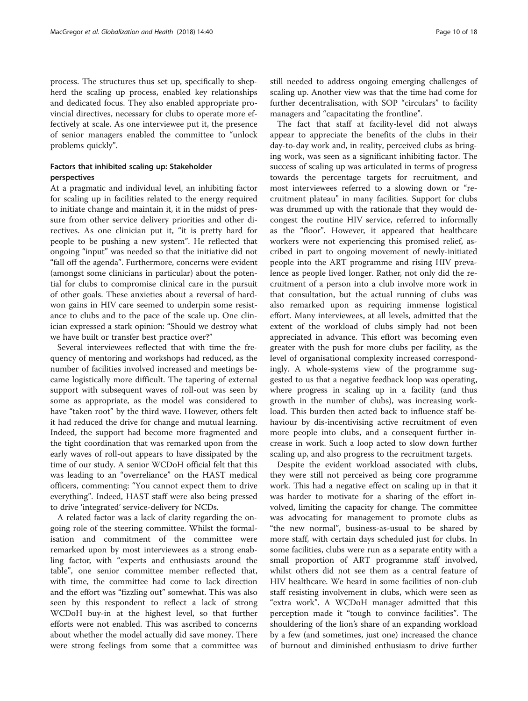process. The structures thus set up, specifically to shepherd the scaling up process, enabled key relationships and dedicated focus. They also enabled appropriate provincial directives, necessary for clubs to operate more effectively at scale. As one interviewee put it, the presence of senior managers enabled the committee to "unlock problems quickly".

# Factors that inhibited scaling up: Stakeholder perspectives

At a pragmatic and individual level, an inhibiting factor for scaling up in facilities related to the energy required to initiate change and maintain it, it in the midst of pressure from other service delivery priorities and other directives. As one clinician put it, "it is pretty hard for people to be pushing a new system". He reflected that ongoing "input" was needed so that the initiative did not "fall off the agenda". Furthermore, concerns were evident (amongst some clinicians in particular) about the potential for clubs to compromise clinical care in the pursuit of other goals. These anxieties about a reversal of hardwon gains in HIV care seemed to underpin some resistance to clubs and to the pace of the scale up. One clinician expressed a stark opinion: "Should we destroy what we have built or transfer best practice over?"

Several interviewees reflected that with time the frequency of mentoring and workshops had reduced, as the number of facilities involved increased and meetings became logistically more difficult. The tapering of external support with subsequent waves of roll-out was seen by some as appropriate, as the model was considered to have "taken root" by the third wave. However, others felt it had reduced the drive for change and mutual learning. Indeed, the support had become more fragmented and the tight coordination that was remarked upon from the early waves of roll-out appears to have dissipated by the time of our study. A senior WCDoH official felt that this was leading to an "overreliance" on the HAST medical officers, commenting: "You cannot expect them to drive everything". Indeed, HAST staff were also being pressed to drive 'integrated' service-delivery for NCDs.

A related factor was a lack of clarity regarding the ongoing role of the steering committee. Whilst the formalisation and commitment of the committee were remarked upon by most interviewees as a strong enabling factor, with "experts and enthusiasts around the table", one senior committee member reflected that, with time, the committee had come to lack direction and the effort was "fizzling out" somewhat. This was also seen by this respondent to reflect a lack of strong WCDoH buy-in at the highest level, so that further efforts were not enabled. This was ascribed to concerns about whether the model actually did save money. There were strong feelings from some that a committee was still needed to address ongoing emerging challenges of scaling up. Another view was that the time had come for further decentralisation, with SOP "circulars" to facility managers and "capacitating the frontline".

The fact that staff at facility-level did not always appear to appreciate the benefits of the clubs in their day-to-day work and, in reality, perceived clubs as bringing work, was seen as a significant inhibiting factor. The success of scaling up was articulated in terms of progress towards the percentage targets for recruitment, and most interviewees referred to a slowing down or "recruitment plateau" in many facilities. Support for clubs was drummed up with the rationale that they would decongest the routine HIV service, referred to informally as the "floor". However, it appeared that healthcare workers were not experiencing this promised relief, ascribed in part to ongoing movement of newly-initiated people into the ART programme and rising HIV prevalence as people lived longer. Rather, not only did the recruitment of a person into a club involve more work in that consultation, but the actual running of clubs was also remarked upon as requiring immense logistical effort. Many interviewees, at all levels, admitted that the extent of the workload of clubs simply had not been appreciated in advance. This effort was becoming even greater with the push for more clubs per facility, as the level of organisational complexity increased correspondingly. A whole-systems view of the programme suggested to us that a negative feedback loop was operating, where progress in scaling up in a facility (and thus growth in the number of clubs), was increasing workload. This burden then acted back to influence staff behaviour by dis-incentivising active recruitment of even more people into clubs, and a consequent further increase in work. Such a loop acted to slow down further scaling up, and also progress to the recruitment targets.

Despite the evident workload associated with clubs, they were still not perceived as being core programme work. This had a negative effect on scaling up in that it was harder to motivate for a sharing of the effort involved, limiting the capacity for change. The committee was advocating for management to promote clubs as "the new normal", business-as-usual to be shared by more staff, with certain days scheduled just for clubs. In some facilities, clubs were run as a separate entity with a small proportion of ART programme staff involved, whilst others did not see them as a central feature of HIV healthcare. We heard in some facilities of non-club staff resisting involvement in clubs, which were seen as "extra work". A WCDoH manager admitted that this perception made it "tough to convince facilities". The shouldering of the lion's share of an expanding workload by a few (and sometimes, just one) increased the chance of burnout and diminished enthusiasm to drive further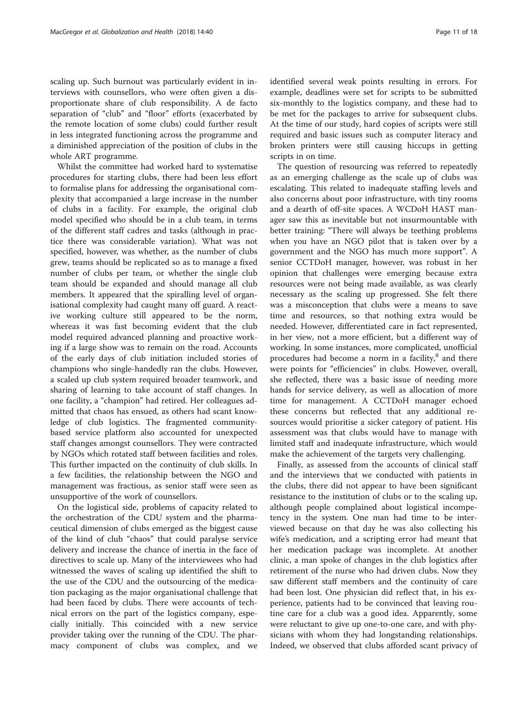scaling up. Such burnout was particularly evident in interviews with counsellors, who were often given a disproportionate share of club responsibility. A de facto separation of "club" and "floor" efforts (exacerbated by the remote location of some clubs) could further result in less integrated functioning across the programme and a diminished appreciation of the position of clubs in the whole ART programme.

Whilst the committee had worked hard to systematise procedures for starting clubs, there had been less effort to formalise plans for addressing the organisational complexity that accompanied a large increase in the number of clubs in a facility. For example, the original club model specified who should be in a club team, in terms of the different staff cadres and tasks (although in practice there was considerable variation). What was not specified, however, was whether, as the number of clubs grew, teams should be replicated so as to manage a fixed number of clubs per team, or whether the single club team should be expanded and should manage all club members. It appeared that the spiralling level of organisational complexity had caught many off guard. A reactive working culture still appeared to be the norm, whereas it was fast becoming evident that the club model required advanced planning and proactive working if a large show was to remain on the road. Accounts of the early days of club initiation included stories of champions who single-handedly ran the clubs. However, a scaled up club system required broader teamwork, and sharing of learning to take account of staff changes. In one facility, a "champion" had retired. Her colleagues admitted that chaos has ensued, as others had scant knowledge of club logistics. The fragmented communitybased service platform also accounted for unexpected staff changes amongst counsellors. They were contracted by NGOs which rotated staff between facilities and roles. This further impacted on the continuity of club skills. In a few facilities, the relationship between the NGO and management was fractious, as senior staff were seen as unsupportive of the work of counsellors.

On the logistical side, problems of capacity related to the orchestration of the CDU system and the pharmaceutical dimension of clubs emerged as the biggest cause of the kind of club "chaos" that could paralyse service delivery and increase the chance of inertia in the face of directives to scale up. Many of the interviewees who had witnessed the waves of scaling up identified the shift to the use of the CDU and the outsourcing of the medication packaging as the major organisational challenge that had been faced by clubs. There were accounts of technical errors on the part of the logistics company, especially initially. This coincided with a new service provider taking over the running of the CDU. The pharmacy component of clubs was complex, and we identified several weak points resulting in errors. For example, deadlines were set for scripts to be submitted six-monthly to the logistics company, and these had to be met for the packages to arrive for subsequent clubs. At the time of our study, hard copies of scripts were still required and basic issues such as computer literacy and broken printers were still causing hiccups in getting scripts in on time.

The question of resourcing was referred to repeatedly as an emerging challenge as the scale up of clubs was escalating. This related to inadequate staffing levels and also concerns about poor infrastructure, with tiny rooms and a dearth of off-site spaces. A WCDoH HAST manager saw this as inevitable but not insurmountable with better training: "There will always be teething problems when you have an NGO pilot that is taken over by a government and the NGO has much more support". A senior CCTDoH manager, however, was robust in her opinion that challenges were emerging because extra resources were not being made available, as was clearly necessary as the scaling up progressed. She felt there was a misconception that clubs were a means to save time and resources, so that nothing extra would be needed. However, differentiated care in fact represented, in her view, not a more efficient, but a different way of working. In some instances, more complicated, unofficial procedures had become a norm in a facility, $8$  and there were points for "efficiencies" in clubs. However, overall, she reflected, there was a basic issue of needing more hands for service delivery, as well as allocation of more time for management. A CCTDoH manager echoed these concerns but reflected that any additional resources would prioritise a sicker category of patient. His assessment was that clubs would have to manage with limited staff and inadequate infrastructure, which would make the achievement of the targets very challenging.

Finally, as assessed from the accounts of clinical staff and the interviews that we conducted with patients in the clubs, there did not appear to have been significant resistance to the institution of clubs or to the scaling up, although people complained about logistical incompetency in the system. One man had time to be interviewed because on that day he was also collecting his wife's medication, and a scripting error had meant that her medication package was incomplete. At another clinic, a man spoke of changes in the club logistics after retirement of the nurse who had driven clubs. Now they saw different staff members and the continuity of care had been lost. One physician did reflect that, in his experience, patients had to be convinced that leaving routine care for a club was a good idea. Apparently, some were reluctant to give up one-to-one care, and with physicians with whom they had longstanding relationships. Indeed, we observed that clubs afforded scant privacy of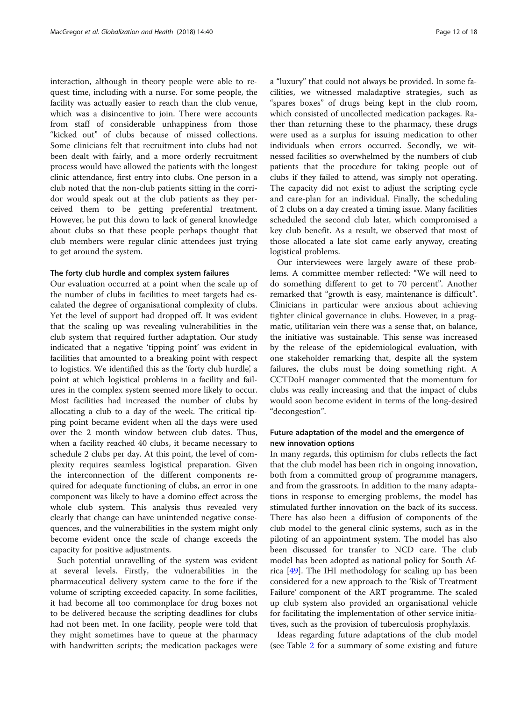interaction, although in theory people were able to request time, including with a nurse. For some people, the facility was actually easier to reach than the club venue, which was a disincentive to join. There were accounts from staff of considerable unhappiness from those "kicked out" of clubs because of missed collections. Some clinicians felt that recruitment into clubs had not been dealt with fairly, and a more orderly recruitment process would have allowed the patients with the longest clinic attendance, first entry into clubs. One person in a club noted that the non-club patients sitting in the corridor would speak out at the club patients as they perceived them to be getting preferential treatment. However, he put this down to lack of general knowledge about clubs so that these people perhaps thought that club members were regular clinic attendees just trying to get around the system.

#### The forty club hurdle and complex system failures

Our evaluation occurred at a point when the scale up of the number of clubs in facilities to meet targets had escalated the degree of organisational complexity of clubs. Yet the level of support had dropped off. It was evident that the scaling up was revealing vulnerabilities in the club system that required further adaptation. Our study indicated that a negative 'tipping point' was evident in facilities that amounted to a breaking point with respect to logistics. We identified this as the 'forty club hurdle', a point at which logistical problems in a facility and failures in the complex system seemed more likely to occur. Most facilities had increased the number of clubs by allocating a club to a day of the week. The critical tipping point became evident when all the days were used over the 2 month window between club dates. Thus, when a facility reached 40 clubs, it became necessary to schedule 2 clubs per day. At this point, the level of complexity requires seamless logistical preparation. Given the interconnection of the different components required for adequate functioning of clubs, an error in one component was likely to have a domino effect across the whole club system. This analysis thus revealed very clearly that change can have unintended negative consequences, and the vulnerabilities in the system might only become evident once the scale of change exceeds the capacity for positive adjustments.

Such potential unravelling of the system was evident at several levels. Firstly, the vulnerabilities in the pharmaceutical delivery system came to the fore if the volume of scripting exceeded capacity. In some facilities, it had become all too commonplace for drug boxes not to be delivered because the scripting deadlines for clubs had not been met. In one facility, people were told that they might sometimes have to queue at the pharmacy with handwritten scripts; the medication packages were a "luxury" that could not always be provided. In some facilities, we witnessed maladaptive strategies, such as "spares boxes" of drugs being kept in the club room, which consisted of uncollected medication packages. Rather than returning these to the pharmacy, these drugs were used as a surplus for issuing medication to other individuals when errors occurred. Secondly, we witnessed facilities so overwhelmed by the numbers of club patients that the procedure for taking people out of clubs if they failed to attend, was simply not operating. The capacity did not exist to adjust the scripting cycle and care-plan for an individual. Finally, the scheduling of 2 clubs on a day created a timing issue. Many facilities scheduled the second club later, which compromised a key club benefit. As a result, we observed that most of those allocated a late slot came early anyway, creating logistical problems.

Our interviewees were largely aware of these problems. A committee member reflected: "We will need to do something different to get to 70 percent". Another remarked that "growth is easy, maintenance is difficult". Clinicians in particular were anxious about achieving tighter clinical governance in clubs. However, in a pragmatic, utilitarian vein there was a sense that, on balance, the initiative was sustainable. This sense was increased by the release of the epidemiological evaluation, with one stakeholder remarking that, despite all the system failures, the clubs must be doing something right. A CCTDoH manager commented that the momentum for clubs was really increasing and that the impact of clubs would soon become evident in terms of the long-desired "decongestion".

# Future adaptation of the model and the emergence of new innovation options

In many regards, this optimism for clubs reflects the fact that the club model has been rich in ongoing innovation, both from a committed group of programme managers, and from the grassroots. In addition to the many adaptations in response to emerging problems, the model has stimulated further innovation on the back of its success. There has also been a diffusion of components of the club model to the general clinic systems, such as in the piloting of an appointment system. The model has also been discussed for transfer to NCD care. The club model has been adopted as national policy for South Africa  $[49]$  $[49]$ . The IHI methodology for scaling up has been considered for a new approach to the 'Risk of Treatment Failure' component of the ART programme. The scaled up club system also provided an organisational vehicle for facilitating the implementation of other service initiatives, such as the provision of tuberculosis prophylaxis.

Ideas regarding future adaptations of the club model (see Table [2](#page-12-0) for a summary of some existing and future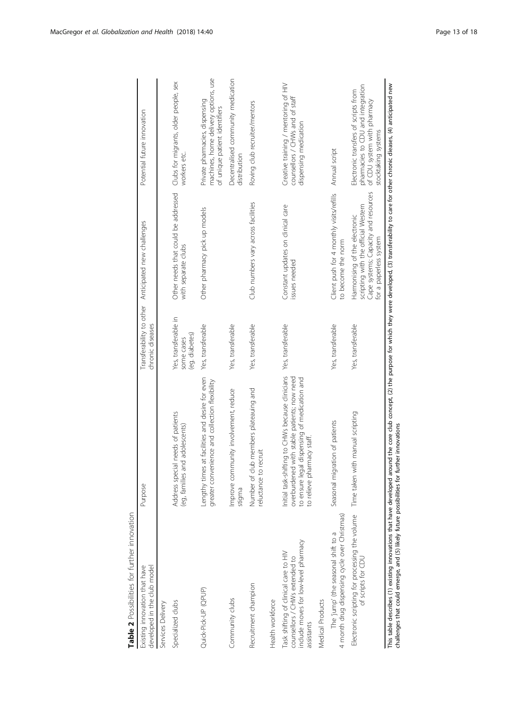<span id="page-12-0"></span>

| Table 2 Possibilities for further innovation                                                                                                 |                                                                                                                                                                               |                                                      |                                                                                                                                                        |                                                                                                                                 |
|----------------------------------------------------------------------------------------------------------------------------------------------|-------------------------------------------------------------------------------------------------------------------------------------------------------------------------------|------------------------------------------------------|--------------------------------------------------------------------------------------------------------------------------------------------------------|---------------------------------------------------------------------------------------------------------------------------------|
| developed in the club model<br>Existing innovation that have                                                                                 | Purpose                                                                                                                                                                       | chronic diseases                                     | Transferability to other Anticipated new challenges                                                                                                    | Potential future innovation                                                                                                     |
| Services Delivery                                                                                                                            |                                                                                                                                                                               |                                                      |                                                                                                                                                        |                                                                                                                                 |
| Specialized clubs                                                                                                                            | Address special needs of patients<br>(eg, families and adolescents)                                                                                                           | Yes, transferable in<br>(eg. diabetes)<br>some cases | Other needs that could be addressed<br>with separate clubs                                                                                             | Clubs for migrants, older people, sex<br>workers etc.                                                                           |
| Quick-Pick-UP (QPUP)                                                                                                                         | nes at facilities and desire for even<br>greater convenience and collection flexibility<br>Lengthy tin                                                                        | Yes, transferable                                    | Other pharmacy pick up models                                                                                                                          | machines, home delivery options, use<br>Private pharmacies, dispensing<br>of unique patient identifiers                         |
| Community clubs                                                                                                                              | Improve community involvement, reduce<br>stigma                                                                                                                               | Yes, transferable                                    |                                                                                                                                                        | Decentralised community medication<br>distribution                                                                              |
| Recruitment champion                                                                                                                         | club members plateauing and<br>reluctance to recruit<br>Number of                                                                                                             | Yes, transferable                                    | Club numbers vary across facilities                                                                                                                    | Roving club recruiter/mentors                                                                                                   |
| Health workforce                                                                                                                             |                                                                                                                                                                               |                                                      |                                                                                                                                                        |                                                                                                                                 |
| include moves for low-level pharmacy<br>Task shifting of clinical care to HIV<br>counsellors / CHWs extended to<br>assistants                | Initial task-shifting to CHWs because clinicians<br>overburdened with stable patients; now need<br>to ensure legal dispensing of medication and<br>to relieve pharmacy staff. | Yes, transferable                                    | Constant updates on clinical care<br>issues needed                                                                                                     | Creative training / mentoring of HIV<br>counsellors / CHWs and of staff<br>dispensing medication                                |
| Medical Products                                                                                                                             |                                                                                                                                                                               |                                                      |                                                                                                                                                        |                                                                                                                                 |
| 4 month drug dispensing cycle over Christmas)<br>The 'jump' (the seasonal shift to a                                                         | Seasonal migration of patients                                                                                                                                                | Yes, transferable                                    | Client push for 4 monthly visits/refills<br>to become the norm                                                                                         | Annual script                                                                                                                   |
| Electronic scripting for processing the volume<br>of scripts for CDU                                                                         | Time taken with manual scripting                                                                                                                                              | Yes, transferable                                    | Cape systems; Capacity and resources<br>scripting with the official Western<br>Harmonising of the electronic<br>or a paperless system                  | pharmacies to CDU and integration<br>Electronic transfers of scripts from<br>of CDU system with pharmacy<br>stocktaking systems |
| This table describes (1) existing innovations that have developed a<br>challenges that could emerge, and (5) likely future possibilities for | further innovations                                                                                                                                                           |                                                      | round the core club concept, (2) the purpose for which they were developed, (3) transferability to care for other chronic dieases, (4) anticipated new |                                                                                                                                 |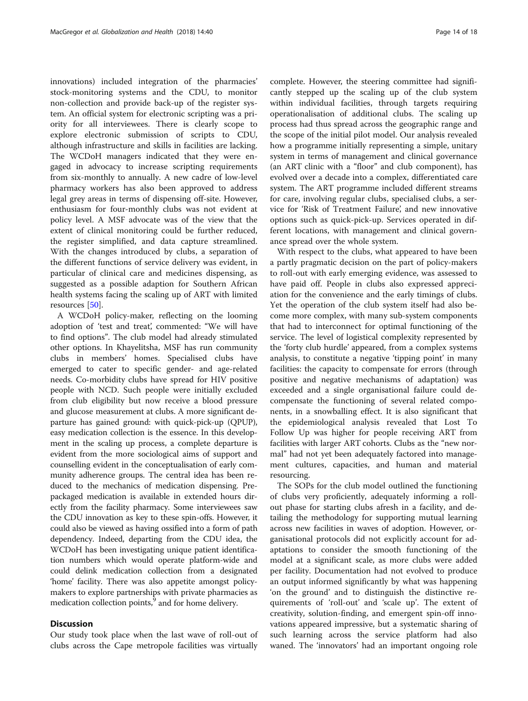innovations) included integration of the pharmacies' stock-monitoring systems and the CDU, to monitor non-collection and provide back-up of the register system. An official system for electronic scripting was a priority for all interviewees. There is clearly scope to explore electronic submission of scripts to CDU, although infrastructure and skills in facilities are lacking. The WCDoH managers indicated that they were engaged in advocacy to increase scripting requirements from six-monthly to annually. A new cadre of low-level pharmacy workers has also been approved to address legal grey areas in terms of dispensing off-site. However, enthusiasm for four-monthly clubs was not evident at policy level. A MSF advocate was of the view that the extent of clinical monitoring could be further reduced, the register simplified, and data capture streamlined. With the changes introduced by clubs, a separation of the different functions of service delivery was evident, in particular of clinical care and medicines dispensing, as suggested as a possible adaption for Southern African health systems facing the scaling up of ART with limited resources [\[50](#page-17-0)].

A WCDoH policy-maker, reflecting on the looming adoption of 'test and treat', commented: "We will have to find options". The club model had already stimulated other options. In Khayelitsha, MSF has run community clubs in members' homes. Specialised clubs have emerged to cater to specific gender- and age-related needs. Co-morbidity clubs have spread for HIV positive people with NCD. Such people were initially excluded from club eligibility but now receive a blood pressure and glucose measurement at clubs. A more significant departure has gained ground: with quick-pick-up (QPUP), easy medication collection is the essence. In this development in the scaling up process, a complete departure is evident from the more sociological aims of support and counselling evident in the conceptualisation of early community adherence groups. The central idea has been reduced to the mechanics of medication dispensing. Prepackaged medication is available in extended hours directly from the facility pharmacy. Some interviewees saw the CDU innovation as key to these spin-offs. However, it could also be viewed as having ossified into a form of path dependency. Indeed, departing from the CDU idea, the WCDoH has been investigating unique patient identification numbers which would operate platform-wide and could delink medication collection from a designated 'home' facility. There was also appetite amongst policymakers to explore partnerships with private pharmacies as medication collection points,<sup>9</sup> and for home delivery.

# **Discussion**

Our study took place when the last wave of roll-out of clubs across the Cape metropole facilities was virtually complete. However, the steering committee had significantly stepped up the scaling up of the club system within individual facilities, through targets requiring operationalisation of additional clubs. The scaling up process had thus spread across the geographic range and the scope of the initial pilot model. Our analysis revealed how a programme initially representing a simple, unitary system in terms of management and clinical governance (an ART clinic with a "floor" and club component), has evolved over a decade into a complex, differentiated care system. The ART programme included different streams for care, involving regular clubs, specialised clubs, a service for 'Risk of Treatment Failure', and new innovative options such as quick-pick-up. Services operated in different locations, with management and clinical governance spread over the whole system.

With respect to the clubs, what appeared to have been a partly pragmatic decision on the part of policy-makers to roll-out with early emerging evidence, was assessed to have paid off. People in clubs also expressed appreciation for the convenience and the early timings of clubs. Yet the operation of the club system itself had also become more complex, with many sub-system components that had to interconnect for optimal functioning of the service. The level of logistical complexity represented by the 'forty club hurdle' appeared, from a complex systems analysis, to constitute a negative 'tipping point' in many facilities: the capacity to compensate for errors (through positive and negative mechanisms of adaptation) was exceeded and a single organisational failure could decompensate the functioning of several related components, in a snowballing effect. It is also significant that the epidemiological analysis revealed that Lost To Follow Up was higher for people receiving ART from facilities with larger ART cohorts. Clubs as the "new normal" had not yet been adequately factored into management cultures, capacities, and human and material resourcing.

The SOPs for the club model outlined the functioning of clubs very proficiently, adequately informing a rollout phase for starting clubs afresh in a facility, and detailing the methodology for supporting mutual learning across new facilities in waves of adoption. However, organisational protocols did not explicitly account for adaptations to consider the smooth functioning of the model at a significant scale, as more clubs were added per facility. Documentation had not evolved to produce an output informed significantly by what was happening 'on the ground' and to distinguish the distinctive requirements of 'roll-out' and 'scale up'. The extent of creativity, solution-finding, and emergent spin-off innovations appeared impressive, but a systematic sharing of such learning across the service platform had also waned. The 'innovators' had an important ongoing role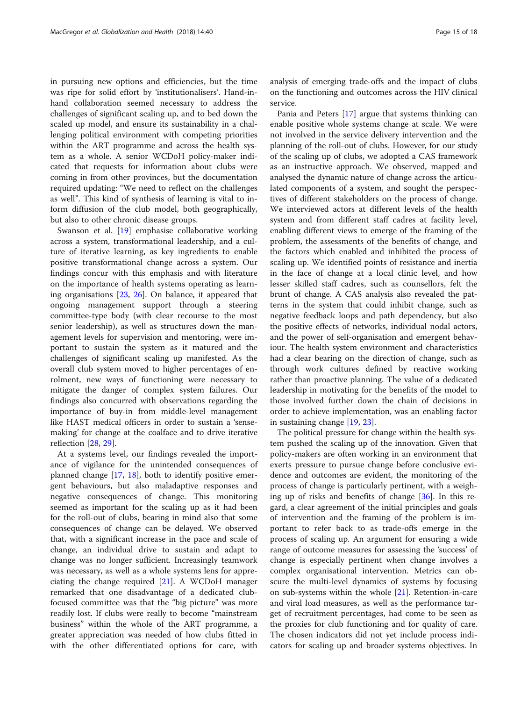in pursuing new options and efficiencies, but the time was ripe for solid effort by 'institutionalisers'. Hand-inhand collaboration seemed necessary to address the challenges of significant scaling up, and to bed down the scaled up model, and ensure its sustainability in a challenging political environment with competing priorities within the ART programme and across the health system as a whole. A senior WCDoH policy-maker indicated that requests for information about clubs were coming in from other provinces, but the documentation required updating: "We need to reflect on the challenges as well". This kind of synthesis of learning is vital to inform diffusion of the club model, both geographically, but also to other chronic disease groups.

Swanson et al. [\[19](#page-17-0)] emphasise collaborative working across a system, transformational leadership, and a culture of iterative learning, as key ingredients to enable positive transformational change across a system. Our findings concur with this emphasis and with literature on the importance of health systems operating as learning organisations [[23,](#page-17-0) [26](#page-17-0)]. On balance, it appeared that ongoing management support through a steering committee-type body (with clear recourse to the most senior leadership), as well as structures down the management levels for supervision and mentoring, were important to sustain the system as it matured and the challenges of significant scaling up manifested. As the overall club system moved to higher percentages of enrolment, new ways of functioning were necessary to mitigate the danger of complex system failures. Our findings also concurred with observations regarding the importance of buy-in from middle-level management like HAST medical officers in order to sustain a 'sensemaking' for change at the coalface and to drive iterative reflection [\[28](#page-17-0), [29](#page-17-0)].

At a systems level, our findings revealed the importance of vigilance for the unintended consequences of planned change  $[17, 18]$  $[17, 18]$  $[17, 18]$ , both to identify positive emergent behaviours, but also maladaptive responses and negative consequences of change. This monitoring seemed as important for the scaling up as it had been for the roll-out of clubs, bearing in mind also that some consequences of change can be delayed. We observed that, with a significant increase in the pace and scale of change, an individual drive to sustain and adapt to change was no longer sufficient. Increasingly teamwork was necessary, as well as a whole systems lens for appreciating the change required [\[21](#page-17-0)]. A WCDoH manager remarked that one disadvantage of a dedicated clubfocused committee was that the "big picture" was more readily lost. If clubs were really to become "mainstream business" within the whole of the ART programme, a greater appreciation was needed of how clubs fitted in with the other differentiated options for care, with analysis of emerging trade-offs and the impact of clubs on the functioning and outcomes across the HIV clinical service.

Pania and Peters [\[17\]](#page-17-0) argue that systems thinking can enable positive whole systems change at scale. We were not involved in the service delivery intervention and the planning of the roll-out of clubs. However, for our study of the scaling up of clubs, we adopted a CAS framework as an instructive approach. We observed, mapped and analysed the dynamic nature of change across the articulated components of a system, and sought the perspectives of different stakeholders on the process of change. We interviewed actors at different levels of the health system and from different staff cadres at facility level, enabling different views to emerge of the framing of the problem, the assessments of the benefits of change, and the factors which enabled and inhibited the process of scaling up. We identified points of resistance and inertia in the face of change at a local clinic level, and how lesser skilled staff cadres, such as counsellors, felt the brunt of change. A CAS analysis also revealed the patterns in the system that could inhibit change, such as negative feedback loops and path dependency, but also the positive effects of networks, individual nodal actors, and the power of self-organisation and emergent behaviour. The health system environment and characteristics had a clear bearing on the direction of change, such as through work cultures defined by reactive working rather than proactive planning. The value of a dedicated leadership in motivating for the benefits of the model to those involved further down the chain of decisions in order to achieve implementation, was an enabling factor in sustaining change [\[19](#page-17-0), [23](#page-17-0)].

The political pressure for change within the health system pushed the scaling up of the innovation. Given that policy-makers are often working in an environment that exerts pressure to pursue change before conclusive evidence and outcomes are evident, the monitoring of the process of change is particularly pertinent, with a weighing up of risks and benefits of change [\[36](#page-17-0)]. In this regard, a clear agreement of the initial principles and goals of intervention and the framing of the problem is important to refer back to as trade-offs emerge in the process of scaling up. An argument for ensuring a wide range of outcome measures for assessing the 'success' of change is especially pertinent when change involves a complex organisational intervention. Metrics can obscure the multi-level dynamics of systems by focusing on sub-systems within the whole [\[21](#page-17-0)]. Retention-in-care and viral load measures, as well as the performance target of recruitment percentages, had come to be seen as the proxies for club functioning and for quality of care. The chosen indicators did not yet include process indicators for scaling up and broader systems objectives. In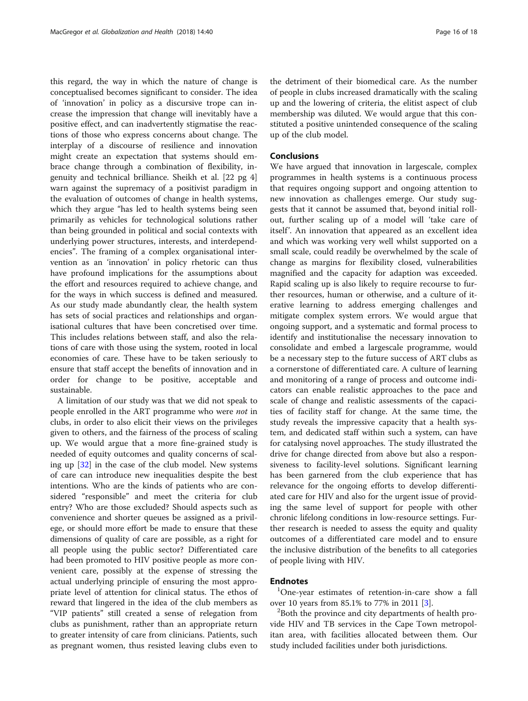this regard, the way in which the nature of change is conceptualised becomes significant to consider. The idea of 'innovation' in policy as a discursive trope can increase the impression that change will inevitably have a positive effect, and can inadvertently stigmatise the reactions of those who express concerns about change. The interplay of a discourse of resilience and innovation might create an expectation that systems should embrace change through a combination of flexibility, ingenuity and technical brilliance. Sheikh et al. [22 pg 4] warn against the supremacy of a positivist paradigm in the evaluation of outcomes of change in health systems, which they argue "has led to health systems being seen primarily as vehicles for technological solutions rather than being grounded in political and social contexts with underlying power structures, interests, and interdependencies". The framing of a complex organisational intervention as an 'innovation' in policy rhetoric can thus have profound implications for the assumptions about the effort and resources required to achieve change, and for the ways in which success is defined and measured. As our study made abundantly clear, the health system has sets of social practices and relationships and organisational cultures that have been concretised over time. This includes relations between staff, and also the relations of care with those using the system, rooted in local economies of care. These have to be taken seriously to ensure that staff accept the benefits of innovation and in order for change to be positive, acceptable and sustainable.

A limitation of our study was that we did not speak to people enrolled in the ART programme who were not in clubs, in order to also elicit their views on the privileges given to others, and the fairness of the process of scaling up. We would argue that a more fine-grained study is needed of equity outcomes and quality concerns of scaling up [\[32](#page-17-0)] in the case of the club model. New systems of care can introduce new inequalities despite the best intentions. Who are the kinds of patients who are considered "responsible" and meet the criteria for club entry? Who are those excluded? Should aspects such as convenience and shorter queues be assigned as a privilege, or should more effort be made to ensure that these dimensions of quality of care are possible, as a right for all people using the public sector? Differentiated care had been promoted to HIV positive people as more convenient care, possibly at the expense of stressing the actual underlying principle of ensuring the most appropriate level of attention for clinical status. The ethos of reward that lingered in the idea of the club members as "VIP patients" still created a sense of relegation from clubs as punishment, rather than an appropriate return to greater intensity of care from clinicians. Patients, such as pregnant women, thus resisted leaving clubs even to

the detriment of their biomedical care. As the number of people in clubs increased dramatically with the scaling up and the lowering of criteria, the elitist aspect of club membership was diluted. We would argue that this constituted a positive unintended consequence of the scaling up of the club model.

#### Conclusions

We have argued that innovation in largescale, complex programmes in health systems is a continuous process that requires ongoing support and ongoing attention to new innovation as challenges emerge. Our study suggests that it cannot be assumed that, beyond initial rollout, further scaling up of a model will 'take care of itself'. An innovation that appeared as an excellent idea and which was working very well whilst supported on a small scale, could readily be overwhelmed by the scale of change as margins for flexibility closed, vulnerabilities magnified and the capacity for adaption was exceeded. Rapid scaling up is also likely to require recourse to further resources, human or otherwise, and a culture of iterative learning to address emerging challenges and mitigate complex system errors. We would argue that ongoing support, and a systematic and formal process to identify and institutionalise the necessary innovation to consolidate and embed a largescale programme, would be a necessary step to the future success of ART clubs as a cornerstone of differentiated care. A culture of learning and monitoring of a range of process and outcome indicators can enable realistic approaches to the pace and scale of change and realistic assessments of the capacities of facility staff for change. At the same time, the study reveals the impressive capacity that a health system, and dedicated staff within such a system, can have for catalysing novel approaches. The study illustrated the drive for change directed from above but also a responsiveness to facility-level solutions. Significant learning has been garnered from the club experience that has relevance for the ongoing efforts to develop differentiated care for HIV and also for the urgent issue of providing the same level of support for people with other chronic lifelong conditions in low-resource settings. Further research is needed to assess the equity and quality outcomes of a differentiated care model and to ensure the inclusive distribution of the benefits to all categories of people living with HIV.

# **Endnotes**

One-year estimates of retention-in-care show a fall over 10 years from 85.1% to 77% in 2011 [[3\]](#page-16-0). <sup>2</sup>

Both the province and city departments of health provide HIV and TB services in the Cape Town metropolitan area, with facilities allocated between them. Our study included facilities under both jurisdictions.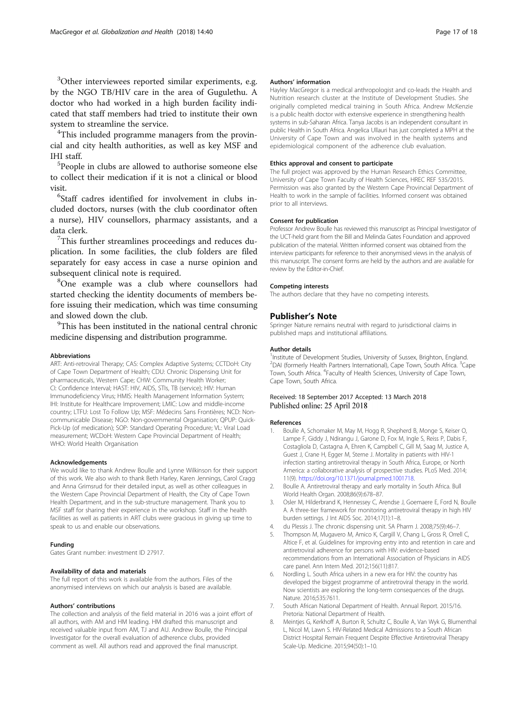<span id="page-16-0"></span><sup>3</sup>Other interviewees reported similar experiments, e.g. by the NGO TB/HIV care in the area of Gugulethu. A doctor who had worked in a high burden facility indicated that staff members had tried to institute their own system to streamline the service.

<sup>4</sup>This included programme managers from the provincial and city health authorities, as well as key MSF and IHI staff.

<sup>5</sup>People in clubs are allowed to authorise someone else to collect their medication if it is not a clinical or blood visit

<sup>6</sup>Staff cadres identified for involvement in clubs included doctors, nurses (with the club coordinator often a nurse), HIV counsellors, pharmacy assistants, and a data clerk. <sup>7</sup>

 $7$ This further streamlines proceedings and reduces duplication. In some facilities, the club folders are filed separately for easy access in case a nurse opinion and subsequent clinical note is required.

<sup>8</sup>One example was a club where counsellors had started checking the identity documents of members before issuing their medication, which was time consuming and slowed down the club.

<sup>9</sup>This has been instituted in the national central chronic medicine dispensing and distribution programme.

#### Abbreviations

ART: Anti-retroviral Therapy; CAS: Complex Adaptive Systems; CCTDoH: City of Cape Town Department of Health; CDU: Chronic Dispensing Unit for pharmaceuticals, Western Cape; CHW: Community Health Worker; CI: Confidence Interval; HAST: HIV, AIDS, STIs, TB (service); HIV: Human Immunodeficiency Virus; HMIS: Health Management Information System; IHI: Institute for Healthcare Improvement; LMIC: Low and middle-income country; LTFU: Lost To Follow Up; MSF: Médecins Sans Frontières; NCD: Noncommunicable Disease; NGO: Non-governmental Organisation; QPUP: Quick-Pick-Up (of medication); SOP: Standard Operating Procedure; VL: Viral Load measurement; WCDoH: Western Cape Provincial Department of Health; WHO: World Health Organisation

#### Acknowledgements

We would like to thank Andrew Boulle and Lynne Wilkinson for their support of this work. We also wish to thank Beth Harley, Karen Jennings, Carol Cragg and Anna Grimsrud for their detailed input, as well as other colleagues in the Western Cape Provincial Department of Health, the City of Cape Town Health Department, and in the sub-structure management. Thank you to MSF staff for sharing their experience in the workshop. Staff in the health facilities as well as patients in ART clubs were gracious in giving up time to speak to us and enable our observations.

#### Funding

Gates Grant number: investment ID 27917.

#### Availability of data and materials

The full report of this work is available from the authors. Files of the anonymised interviews on which our analysis is based are available.

#### Authors' contributions

The collection and analysis of the field material in 2016 was a joint effort of all authors, with AM and HM leading. HM drafted this manuscript and received valuable input from AM, TJ and AU. Andrew Boulle, the Principal Investigator for the overall evaluation of adherence clubs, provided comment as well. All authors read and approved the final manuscript.

#### Authors' information

Hayley MacGregor is a medical anthropologist and co-leads the Health and Nutrition research cluster at the Institute of Development Studies. She originally completed medical training in South Africa. Andrew McKenzie is a public health doctor with extensive experience in strengthening health systems in sub-Saharan Africa. Tanya Jacobs is an independent consultant in public Health in South Africa. Angelica Ullauri has just completed a MPH at the University of Cape Town and was involved in the health systems and epidemiological component of the adherence club evaluation.

# Ethics approval and consent to participate

The full project was approved by the Human Research Ethics Committee, University of Cape Town Faculty of Health Sciences, HREC REF 535/2015. Permission was also granted by the Western Cape Provincial Department of Health to work in the sample of facilities. Informed consent was obtained prior to all interviews.

#### Consent for publication

Professor Andrew Boulle has reviewed this manuscript as Principal Investigator of the UCT-held grant from the Bill and Melinda Gates Foundation and approved publication of the material. Written informed consent was obtained from the interview participants for reference to their anonymised views in the analysis of this manuscript. The consent forms are held by the authors and are available for review by the Editor-in-Chief.

#### Competing interests

The authors declare that they have no competing interests.

#### Publisher's Note

Springer Nature remains neutral with regard to jurisdictional claims in published maps and institutional affiliations.

#### Author details

<sup>1</sup>Institute of Development Studies, University of Sussex, Brighton, England. <sup>2</sup>DAI (formerly Health Partners International), Cape Town, South Africa. <sup>3</sup>Cape Town, South Africa. <sup>4</sup>Faculty of Health Sciences, University of Cape Town Cape Town, South Africa.

#### Received: 18 September 2017 Accepted: 13 March 2018 Published online: 25 April 2018

#### References

- 1. Boulle A, Schomaker M, May M, Hogg R, Shepherd B, Monge S, Keiser O, Lampe F, Giddy J, Ndirangu J, Garone D, Fox M, Ingle S, Reiss P, Dabis F, Costagliola D, Castagna A, Ehren K, Campbell C, Gill M, Saag M, Justice A, Guest J, Crane H, Egger M, Sterne J. Mortality in patients with HIV-1 infection starting antiretroviral therapy in South Africa, Europe, or North America: a collaborative analysis of prospective studies. PLoS Med. 2014; 11(9). [https://doi.org/10.1371/journal.pmed.1001718.](https://doi.org/10.1371/journal.pmed.1001718)
- 2. Boulle A. Antiretroviral therapy and early mortality in South Africa. Bull World Health Organ. 2008;86(9):678–87.
- 3. Osler M, Hilderbrand K, Hennessey C, Arendse J, Goemaere E, Ford N, Boulle A. A three-tier framework for monitoring antiretroviral therapy in high HIV burden settings. J Int AIDS Soc. 2014;17(1):1–8.
- 4. du Plessis J. The chronic dispensing unit. SA Pharm J. 2008;75(9):46–7.
- 5. Thompson M, Mugavero M, Amico K, Cargill V, Chang L, Gross R, Orrell C, Altice F, et al. Guidelines for improving entry into and retention in care and antiretroviral adherence for persons with HIV: evidence-based recommendations from an International Association of Physicians in AIDS care panel. Ann Intern Med. 2012;156(11):817.
- 6. Nordling L. South Africa ushers in a new era for HIV: the country has developed the biggest programme of antiretroviral therapy in the world. Now scientists are exploring the long-term consequences of the drugs. Nature. 2016;535:7611.
- 7. South African National Department of Health. Annual Report. 2015/16. Pretoria: National Department of Health.
- 8. Meintjes G, Kerkhoff A, Burton R, Schultz C, Boulle A, Van Wyk G, Blumenthal L, Nicol M, Lawn S. HIV-Related Medical Admissions to a South African District Hospital Remain Frequent Despite Effective Antiretroviral Therapy Scale-Up. Medicine. 2015;94(50):1–10.